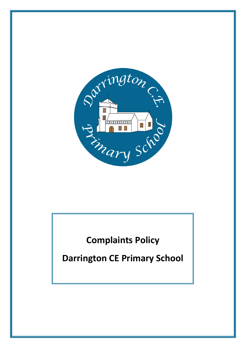

# **Complaints Policy**

**Darrington CE Primary School**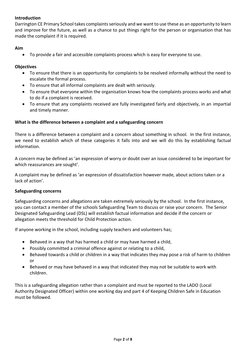## **Introduction**

Darrington CE Primary School takes complaints seriously and we want to use these as an opportunity to learn and improve for the future, as well as a chance to put things right for the person or organisation that has made the complaint if it is required.

#### **Aim**

• To provide a fair and accessible complaints process which is easy for everyone to use.

#### **Objectives**

- To ensure that there is an opportunity for complaints to be resolved informally without the need to escalate the formal process.
- To ensure that all informal complaints are dealt with seriously.
- To ensure that everyone within the organisation knows how the complaints process works and what to do if a complaint is received.
- To ensure that any complaints received are fully investigated fairly and objectively, in an impartial and timely manner.

#### **What is the difference between a complaint and a safeguarding concern**

There is a difference between a complaint and a concern about something in school. In the first instance, we need to establish which of these categories it falls into and we will do this by establishing factual information.

A concern may be defined as 'an expression of worry or doubt over an issue considered to be important for which reassurances are sought'.

A complaint may be defined as 'an expression of dissatisfaction however made, about actions taken or a lack of action'.

#### **Safeguarding concerns**

Safeguarding concerns and allegations are taken extremely seriously by the school. In the first instance, you can contact a member of the schools Safeguarding Team to discuss or raise your concern. The Senior Designated Safeguarding Lead (DSL) will establish factual information and decide if the concern or allegation meets the threshold for Child Protection action.

If anyone working in the school, including supply teachers and volunteers has;

- Behaved in a way that has harmed a child or may have harmed a child,
- Possibly committed a criminal offence against or relating to a child,
- Behaved towards a child or children in a way that indicates they may pose a risk of harm to children or
- Behaved or may have behaved in a way that indicated they may not be suitable to work with children.

This is a safeguarding allegation rather than a complaint and must be reported to the LADO (Local Authority Designated Officer) within one working day and part 4 of Keeping Children Safe in Education must be followed.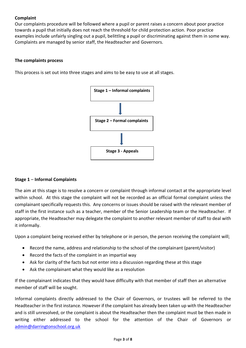# **Complaint**

Our complaints procedure will be followed where a pupil or parent raises a concern about poor practice towards a pupil that initially does not reach the threshold for child protection action. Poor practice examples include unfairly singling out a pupil, belittling a pupil or discriminating against them in some way. Complaints are managed by senior staff, the Headteacher and Governors.

# **The complaints process**

This process is set out into three stages and aims to be easy to use at all stages.



## **Stage 1** – **Informal Complaints**

The aim at this stage is to resolve a concern or complaint through informal contact at the appropriate level within school. At this stage the complaint will not be recorded as an official formal complaint unless the complainant specifically requests this. Any concerns or issues should be raised with the relevant member of staff in the first instance such as a teacher, member of the Senior Leadership team or the Headteacher. If appropriate, the Headteacher may delegate the complaint to another relevant member of staff to deal with it informally.

Upon a complaint being received either by telephone or in person, the person receiving the complaint will;

- Record the name, address and relationship to the school of the complainant (parent/visitor)
- Record the facts of the complaint in an impartial way
- Ask for clarity of the facts but not enter into a discussion regarding these at this stage
- Ask the complainant what they would like as a resolution

If the complainant indicates that they would have difficulty with that member of staff then an alternative member of staff will be sought.

Informal complaints directly addressed to the Chair of Governors, or trustees will be referred to the Headteacher in the first instance. However if the complaint has already been taken up with the Headteacher and is still unresolved, or the complaint is about the Headteacher then the complaint must be then made in writing either addressed to the school for the attention of the Chair of Governors or [admin@darringtonschool.org.uk](mailto:admin@darringtonschool.org.uk)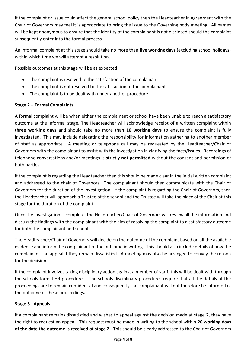If the complaint or issue could affect the general school policy then the Headteacher in agreement with the Chair of Governors may feel it is appropriate to bring the issue to the Governing body meeting. All names will be kept anonymous to ensure that the identity of the complainant is not disclosed should the complaint subsequently enter into the formal process.

An informal complaint at this stage should take no more than **five working days** (excluding school holidays) within which time we will attempt a resolution.

Possible outcomes at this stage will be as expected

- The complaint is resolved to the satisfaction of the complainant
- The complaint is not resolved to the satisfaction of the complainant
- The complaint is to be dealt with under another procedure

## **Stage 2 – Formal Complaints**

A formal complaint will be when either the complainant or school have been unable to reach a satisfactory outcome at the informal stage. The Headteacher will acknowledge receipt of a written complaint within **three working days** and should take no more than **10 working days** to ensure the complaint is fully investigated. This may include delegating the responsibility for information gathering to another member of staff as appropriate. A meeting or telephone call may be requested by the Headteacher/Chair of Governors with the complainant to assist with the investigation in clarifying the facts/issues. Recordings of telephone conversations and/or meetings is **strictly not permitted** without the consent and permission of both parties.

If the complaint is regarding the Headteacher then this should be made clear in the initial written complaint and addressed to the chair of Governors. The complainant should then communicate with the Chair of Governors for the duration of the investigation. If the complaint is regarding the Chair of Governors, then the Headteacher will approach a Trustee of the school and the Trustee will take the place of the Chair at this stage for the duration of the complaint.

Once the investigation is complete, the Headteacher/Chair of Governors will review all the information and discuss the findings with the complainant with the aim of resolving the complaint to a satisfactory outcome for both the complainant and school.

The Headteacher/Chair of Governors will decide on the outcome of the complaint based on all the available evidence and inform the complainant of the outcome in writing. This should also include details of how the complainant can appeal if they remain dissatisfied. A meeting may also be arranged to convey the reason for the decision.

If the complaint involves taking disciplinary action against a member of staff, this will be dealt with through the schools formal HR procedures. The schools disciplinary procedures require that all the details of the proceedings are to remain confidential and consequently the complainant will not therefore be informed of the outcome of these proceedings.

## **Stage 3 - Appeals**

If a complainant remains dissatisfied and wishes to appeal against the decision made at stage 2, they have the right to request an appeal. This request must be made in writing to the school within **20 working days of the date the outcome is received at stage 2**. This should be clearly addressed to the Chair of Governors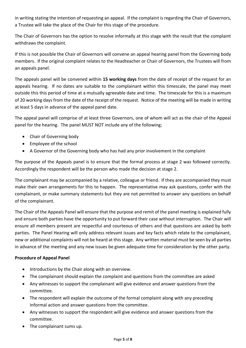in writing stating the intention of requesting an appeal. If the complaint is regarding the Chair of Governors, a Trustee will take the place of the Chair for this stage of the procedure.

The Chair of Governors has the option to resolve informally at this stage with the result that the complaint withdraws the complaint.

If this is not possible the Chair of Governors will convene an appeal hearing panel from the Governing body members. If the original complaint relates to the Headteacher or Chair of Governors, the Trustees will from an appeals panel.

The appeals panel will be convened within **15 working days** from the date of receipt of the request for an appeals hearing. If no dates are suitable to the complainant within this timescale, the panel may meet outside this this period of time at a mutually agreeable date and time. The timescale for this is a maximum of 20 working days from the date of the receipt of the request. Notice of the meeting will be made in writing at least 5 days in advance of the appeal panel date.

The appeal panel will comprise of at least three Governors, one of whom will act as the chair of the Appeal panel for the hearing. The panel MUST NOT include any of the following;

- Chair of Governing body
- Employee of the school
- A Governor of the Governing body who has had any prior involvement in the complaint

The purpose of the Appeals panel is to ensure that the formal process at stage 2 was followed correctly. Accordingly the respondent will be the person who made the decision at stage 2.

The complainant may be accompanied by a relative, colleague or friend. If they are accompanied they must make their own arrangements for this to happen. The representative may ask questions, confer with the complainant, or make summary statements but they are not permitted to answer any questions on behalf of the complainant.

The Chair of the Appeals Panel will ensure that the purpose and remit of the panel meeting is explained fully and ensure both parties have the opportunity to put forward their case without interruption. The Chair will ensure all members present are respectful and courteous of others and that questions are asked by both parties. The Panel Hearing will only address relevant issues and key facts which relate to the complainant, new or additional complaints will not be heard at this stage. Any written material must be seen by all parties in advance of the meeting and any new issues be given adequate time for consideration by the other party.

## **Procedure of Appeal Panel**

- Introductions by the Chair along with an overview.
- The complainant should explain the complaint and questions from the committee are asked
- Any witnesses to support the complainant will give evidence and answer questions from the committee.
- The respondent will explain the outcome of the formal complaint along with any preceding informal action and answer questions from the committee.
- Any witnesses to support the respondent will give evidence and answer questions from the committee.
- The complainant sums up.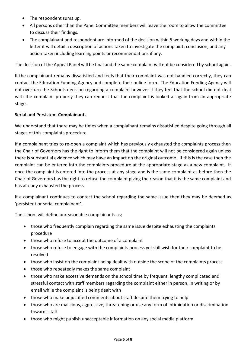- The respondent sums up.
- All persons other than the Panel Committee members will leave the room to allow the committee to discuss their findings.
- The complainant and respondent are informed of the decision within 5 working days and within the letter it will detail a description of actions taken to investigate the complaint, conclusion, and any action taken including learning points or recommendations if any.

The decision of the Appeal Panel will be final and the same complaint will not be considered by school again.

If the complainant remains dissatisfied and feels that their complaint was not handled correctly, they can contact the Education Funding Agency and complete their online form. The Education Funding Agency will not overturn the Schools decision regarding a complaint however if they feel that the school did not deal with the complaint properly they can request that the complaint is looked at again from an appropriate stage.

## **Serial and Persistent Complainants**

We understand that there may be times when a complainant remains dissatisfied despite going through all stages of this complaints procedure.

If a complainant tries to re-open a complaint which has previously exhausted the complaints process then the Chair of Governors has the right to inform them that the complaint will not be considered again unless there is substantial evidence which may have an impact on the original outcome. If this is the case then the complaint can be entered into the complaints procedure at the appropriate stage as a new complaint. If once the complaint is entered into the process at any stage and is the same complaint as before then the Chair of Governors has the right to refuse the complaint giving the reason that it is the same complaint and has already exhausted the process.

If a complainant continues to contact the school regarding the same issue then they may be deemed as 'persistent or serial complainant'.

The school will define unreasonable complainants as;

- those who frequently complain regarding the same issue despite exhausting the complaints procedure
- those who refuse to accept the outcome of a complaint
- those who refuse to engage with the complaints process yet still wish for their complaint to be resolved
- those who insist on the complaint being dealt with outside the scope of the complaints process
- those who repeatedly makes the same complaint
- those who make excessive demands on the school time by frequent, lengthy complicated and stressful contact with staff members regarding the complaint either in person, in writing or by email while the complaint is being dealt with
- those who make unjustified comments about staff despite them trying to help
- those who are malicious, aggressive, threatening or use any form of intimidation or discrimination towards staff
- those who might publish unacceptable information on any social media platform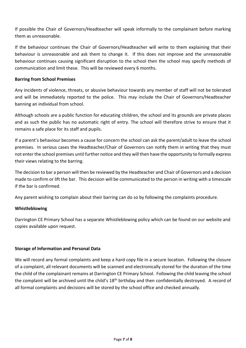If possible the Chair of Governors/Headteacher will speak informally to the complainant before marking them as unreasonable.

If the behaviour continues the Chair of Governors/Headteacher will write to them explaining that their behaviour is unreasonable and ask them to change it. If this does not improve and the unreasonable behaviour continues causing significant disruption to the school then the school may specify methods of communication and limit these. This will be reviewed every 6 months.

#### **Barring from School Premises**

Any incidents of violence, threats, or abusive behaviour towards any member of staff will not be tolerated and will be immediately reported to the police. This may include the Chair of Governors/Headteacher banning an individual from school.

Although schools are a public function for educating children, the school and its grounds are private places and as such the public has no automatic right of entry. The school will therefore strive to ensure that it remains a safe place for its staff and pupils.

If a parent's behaviour becomes a cause for concern the school can ask the parent/adult to leave the school premises. In serious cases the Headteacher/Chair of Governors can notify them in writing that they must not enter the school premises until further notice and they will then have the opportunity to formally express their views relating to the barring.

The decision to bar a person will then be reviewed by the Headteacher and Chair of Governors and a decision made to confirm or lift the bar. This decision will be communicated to the person in writing with a timescale if the bar is confirmed.

Any parent wishing to complain about their barring can do so by following the complaints procedure.

## **Whistleblowing**

Darrington CE Primary School has a separate Whistleblowing policy which can be found on our website and copies available upon request.

#### **Storage of Information and Personal Data**

We will record any formal complaints and keep a hard copy file in a secure location. Following the closure of a complaint, all relevant documents will be scanned and electronically stored for the duration of the time the child of the complainant remains at Darrington CE Primary School. Following the child leaving the school the complaint will be archived until the child's 18<sup>th</sup> birthday and then confidentially destroyed. A record of all formal complaints and decisions will be stored by the school office and checked annually.